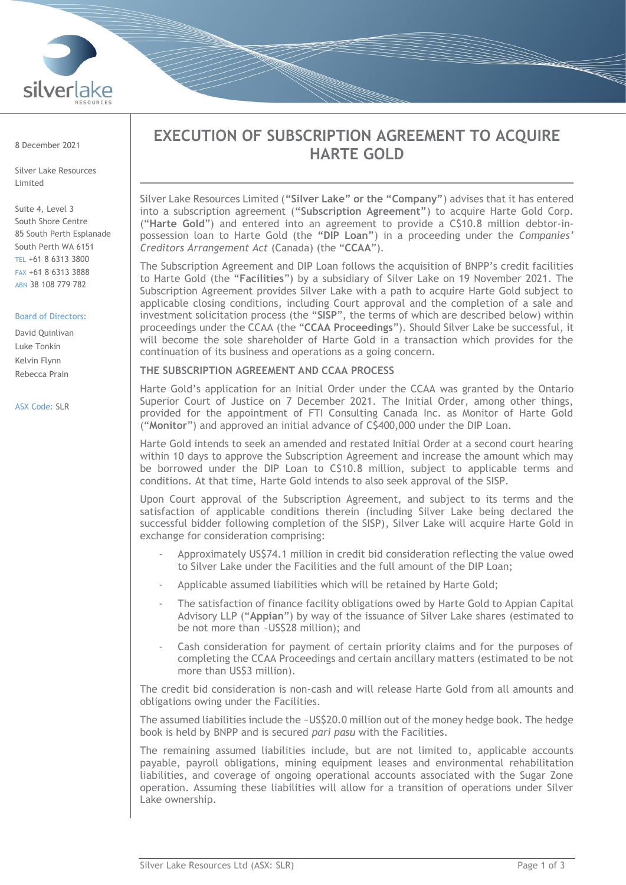

8 December 2021

Silver Lake Resources Limited

Suite 4, Level 3 South Shore Centre 85 South Perth Esplanade South Perth WA 6151 TEL +61 8 6313 3800 FAX +61 8 6313 3888 ABN 38 108 779 782

## Board of Directors:

David Quinlivan Luke Tonkin Kelvin Flynn Rebecca Prain

#### ASX Code: SLR

# **EXECUTION OF SUBSCRIPTION AGREEMENT TO ACQUIRE HARTE GOLD**

Silver Lake Resources Limited (**"Silver Lake" or the "Company"**) advises that it has entered into a subscription agreement (**"Subscription Agreement"**) to acquire Harte Gold Corp. ("**Harte Gold**") and entered into an agreement to provide a C\$10.8 million debtor-inpossession loan to Harte Gold (the **"DIP Loan"**) in a proceeding under the *Companies' Creditors Arrangement Act* (Canada) (the "**CCAA**").

The Subscription Agreement and DIP Loan follows the acquisition of BNPP's credit facilities to Harte Gold (the "**Facilities**") by a subsidiary of Silver Lake on 19 November 2021. The Subscription Agreement provides Silver Lake with a path to acquire Harte Gold subject to applicable closing conditions, including Court approval and the completion of a sale and investment solicitation process (the "**SISP**", the terms of which are described below) within proceedings under the CCAA (the "**CCAA Proceedings**"). Should Silver Lake be successful, it will become the sole shareholder of Harte Gold in a transaction which provides for the continuation of its business and operations as a going concern.

## **THE SUBSCRIPTION AGREEMENT AND CCAA PROCESS**

Harte Gold's application for an Initial Order under the CCAA was granted by the Ontario Superior Court of Justice on 7 December 2021. The Initial Order, among other things, provided for the appointment of FTI Consulting Canada Inc. as Monitor of Harte Gold ("**Monitor**") and approved an initial advance of C\$400,000 under the DIP Loan.

Harte Gold intends to seek an amended and restated Initial Order at a second court hearing within 10 days to approve the Subscription Agreement and increase the amount which may be borrowed under the DIP Loan to C\$10.8 million, subject to applicable terms and conditions. At that time, Harte Gold intends to also seek approval of the SISP.

Upon Court approval of the Subscription Agreement, and subject to its terms and the satisfaction of applicable conditions therein (including Silver Lake being declared the successful bidder following completion of the SISP), Silver Lake will acquire Harte Gold in exchange for consideration comprising:

- Approximately US\$74.1 million in credit bid consideration reflecting the value owed to Silver Lake under the Facilities and the full amount of the DIP Loan;
- Applicable assumed liabilities which will be retained by Harte Gold;
- The satisfaction of finance facility obligations owed by Harte Gold to Appian Capital Advisory LLP ("**Appian**") by way of the issuance of Silver Lake shares (estimated to be not more than ~US\$28 million); and
- Cash consideration for payment of certain priority claims and for the purposes of completing the CCAA Proceedings and certain ancillary matters (estimated to be not more than US\$3 million).

The credit bid consideration is non-cash and will release Harte Gold from all amounts and obligations owing under the Facilities.

The assumed liabilities include the ~US\$20.0 million out of the money hedge book. The hedge book is held by BNPP and is secured *pari pasu* with the Facilities.

The remaining assumed liabilities include, but are not limited to, applicable accounts payable, payroll obligations, mining equipment leases and environmental rehabilitation liabilities, and coverage of ongoing operational accounts associated with the Sugar Zone operation. Assuming these liabilities will allow for a transition of operations under Silver Lake ownership.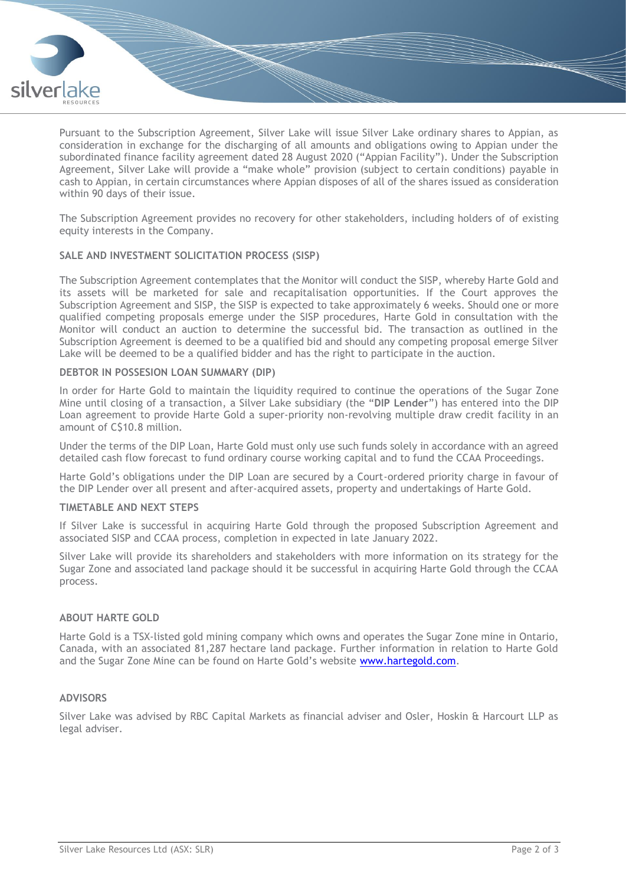

Pursuant to the Subscription Agreement, Silver Lake will issue Silver Lake ordinary shares to Appian, as consideration in exchange for the discharging of all amounts and obligations owing to Appian under the subordinated finance facility agreement dated 28 August 2020 ("Appian Facility"). Under the Subscription Agreement, Silver Lake will provide a "make whole" provision (subject to certain conditions) payable in cash to Appian, in certain circumstances where Appian disposes of all of the shares issued as consideration within 90 days of their issue.

The Subscription Agreement provides no recovery for other stakeholders, including holders of of existing equity interests in the Company.

## **SALE AND INVESTMENT SOLICITATION PROCESS (SISP)**

The Subscription Agreement contemplates that the Monitor will conduct the SISP, whereby Harte Gold and its assets will be marketed for sale and recapitalisation opportunities. If the Court approves the Subscription Agreement and SISP, the SISP is expected to take approximately 6 weeks. Should one or more qualified competing proposals emerge under the SISP procedures, Harte Gold in consultation with the Monitor will conduct an auction to determine the successful bid. The transaction as outlined in the Subscription Agreement is deemed to be a qualified bid and should any competing proposal emerge Silver Lake will be deemed to be a qualified bidder and has the right to participate in the auction.

## **DEBTOR IN POSSESION LOAN SUMMARY (DIP)**

In order for Harte Gold to maintain the liquidity required to continue the operations of the Sugar Zone Mine until closing of a transaction, a Silver Lake subsidiary (the "**DIP Lender**") has entered into the DIP Loan agreement to provide Harte Gold a super-priority non-revolving multiple draw credit facility in an amount of C\$10.8 million.

Under the terms of the DIP Loan, Harte Gold must only use such funds solely in accordance with an agreed detailed cash flow forecast to fund ordinary course working capital and to fund the CCAA Proceedings.

Harte Gold's obligations under the DIP Loan are secured by a Court-ordered priority charge in favour of the DIP Lender over all present and after-acquired assets, property and undertakings of Harte Gold.

### **TIMETABLE AND NEXT STEPS**

If Silver Lake is successful in acquiring Harte Gold through the proposed Subscription Agreement and associated SISP and CCAA process, completion in expected in late January 2022.

Silver Lake will provide its shareholders and stakeholders with more information on its strategy for the Sugar Zone and associated land package should it be successful in acquiring Harte Gold through the CCAA process.

## **ABOUT HARTE GOLD**

Harte Gold is a TSX-listed gold mining company which owns and operates the Sugar Zone mine in Ontario, Canada, with an associated 81,287 hectare land package. Further information in relation to Harte Gold and the Sugar Zone Mine can be found on Harte Gold's website [www.hartegold.com.](http://www.hartegold.com/)

## **ADVISORS**

Silver Lake was advised by RBC Capital Markets as financial adviser and Osler, Hoskin & Harcourt LLP as legal adviser.